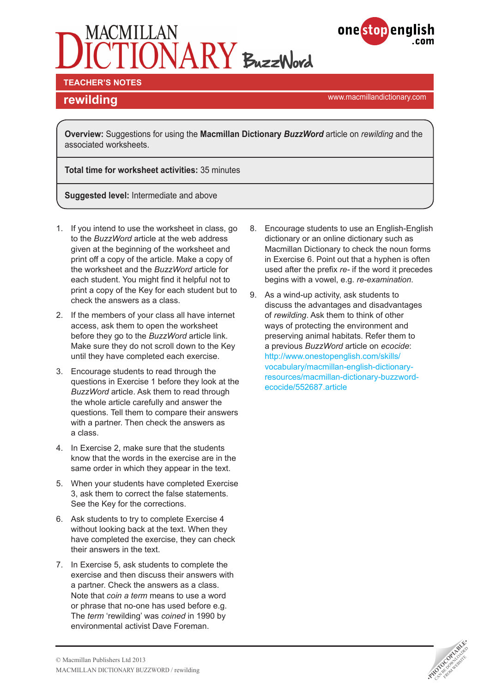



#### **TEACHER'S NOTES**

<www.macmillandictionary.com> **rewilding**

**Overview:** Suggestions for using the **Macmillan Dictionary** *BuzzWord* article on *rewilding* and the associated worksheets.

**Total time for worksheet activities:** 35 minutes

**Suggested level:** Intermediate and above

- 1. If you intend to use the worksheet in class, go to the *BuzzWord* article at the web address given at the beginning of the worksheet and print off a copy of the article. Make a copy of the worksheet and the *BuzzWord* article for each student. You might find it helpful not to print a copy of the Key for each student but to check the answers as a class.
- 2. If the members of your class all have internet access, ask them to open the worksheet before they go to the *BuzzWord* article link. Make sure they do not scroll down to the Key until they have completed each exercise.
- 3. Encourage students to read through the questions in Exercise 1 before they look at the *BuzzWord* article. Ask them to read through the whole article carefully and answer the questions. Tell them to compare their answers with a partner. Then check the answers as a class.
- 4. In Exercise 2, make sure that the students know that the words in the exercise are in the same order in which they appear in the text.
- 5. When your students have completed Exercise 3, ask them to correct the false statements. See the Key for the corrections.
- 6. Ask students to try to complete Exercise 4 without looking back at the text. When they have completed the exercise, they can check their answers in the text.
- 7. In Exercise 5, ask students to complete the exercise and then discuss their answers with a partner. Check the answers as a class. Note that *coin a term* means to use a word or phrase that no-one has used before e.g. The *term* 'rewilding' was *coined* in 1990 by environmental activist Dave Foreman.
- 8. Encourage students to use an English-English dictionary or an online dictionary such as Macmillan Dictionary to check the noun forms in Exercise 6. Point out that a hyphen is often used after the prefix *re-* if the word it precedes begins with a vowel, e.g. *re-examination*.
- 9. As a wind-up activity, ask students to discuss the advantages and disadvantages of *rewilding*. Ask them to think of other ways of protecting the environment and preserving animal habitats. Refer them to a previous *BuzzWord* article on *ecocide*: [http://www.onestopenglish.com/skills/](http://www.onestopenglish.com/skills/vocabulary/macmillan-english-dictionary-resources/macmillan-dictionary-buzzword-ecocide/552687.article) [vocabulary/macmillan-english-dictionary](http://www.onestopenglish.com/skills/vocabulary/macmillan-english-dictionary-resources/macmillan-dictionary-buzzword-ecocide/552687.article)[resources/macmillan-dictionary-buzzword](http://www.onestopenglish.com/skills/vocabulary/macmillan-english-dictionary-resources/macmillan-dictionary-buzzword-ecocide/552687.article)[ecocide/552687.article](http://www.onestopenglish.com/skills/vocabulary/macmillan-english-dictionary-resources/macmillan-dictionary-buzzword-ecocide/552687.article)

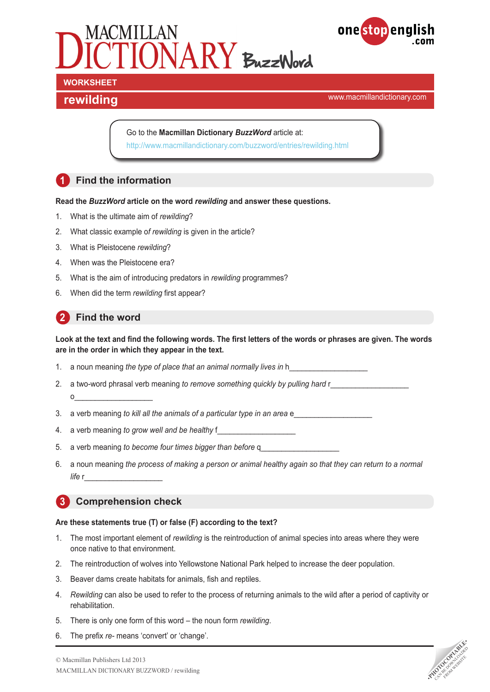



**rewilding rewilding rewilding** 

Go to the **Macmillan Dictionary** *BuzzWord* article at: <http://www.macmillandictionary.com/buzzword/entries/rewilding.html>

# **1 Find the information**

**Read the** *BuzzWord* **article on the word** *rewilding* **and answer these questions.**

- 1. What is the ultimate aim of *rewilding*?
- 2. What classic example o*f rewilding* is given in the article?
- 3. What is Pleistocene *rewilding*?
- 4. When was the Pleistocene era?
- 5. What is the aim of introducing predators in *rewilding* programmes?
- 6. When did the term *rewilding* first appear?

## **2** Find the word

**Look at the text and find the following words. The first letters of the words or phrases are given. The words are in the order in which they appear in the text.** 

- 1. a noun meaning *the type of place that an animal normally lives in* h
- 2. a two-word phrasal verb meaning *to remove something quickly by pulling hard* r o\_\_\_\_\_\_\_\_\_\_\_\_\_\_\_\_\_\_\_
- 3. a verb meaning *to kill all the animals of a particular type in an area* e\_\_\_\_\_\_\_\_\_\_\_\_\_\_\_\_\_\_\_
- 4. a verb meaning *to grow well and be healthy* f
- 5. a verb meaning *to become four times bigger than before* q\_\_\_\_\_\_\_\_\_\_\_\_\_\_\_\_\_\_\_
- 6. a noun meaning *the process of making a person or animal healthy again so that they can return to a normal life* r\_\_\_\_\_\_\_\_\_\_\_\_\_\_\_\_\_\_\_

#### **3 Comprehension check**

#### **Are these statements true (T) or false (F) according to the text?**

- 1. The most important element of *rewilding* is the reintroduction of animal species into areas where they were once native to that environment.
- 2. The reintroduction of wolves into Yellowstone National Park helped to increase the deer population.
- 3. Beaver dams create habitats for animals, fish and reptiles.
- 4. *Rewilding* can also be used to refer to the process of returning animals to the wild after a period of captivity or rehabilitation.
- 5. There is only one form of this word the noun form *rewilding*.
- 6. The prefix *re-* means 'convert' or 'change'.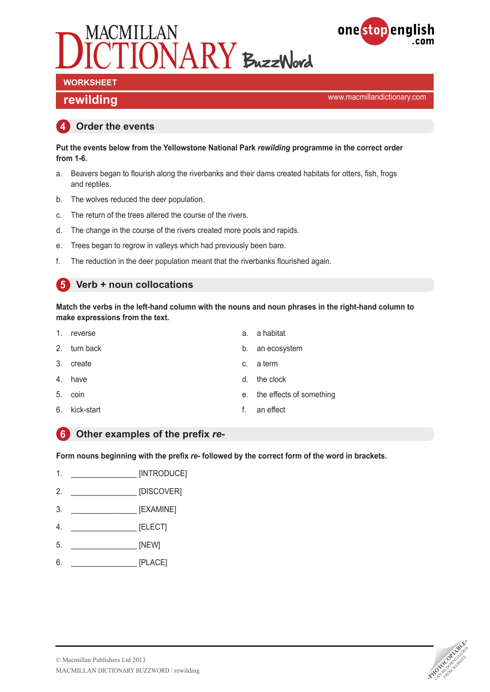



# **WORKSHEET**

**rewilding rewilding rewilding** 

#### **4 Order the events**

**Put the events below from the Yellowstone National Park** *rewilding* **programme in the correct order from 1-6.**

- a. Beavers began to flourish along the riverbanks and their dams created habitats for otters, fish, frogs and reptiles.
- b. The wolves reduced the deer population.
- c. The return of the trees altered the course of the rivers.
- d. The change in the course of the rivers created more pools and rapids.
- e. Trees began to regrow in valleys which had previously been bare.
- f. The reduction in the deer population meant that the riverbanks flourished again.

#### **5 Verb + noun collocations**

**Match the verbs in the left-hand column with the nouns and noun phrases in the right-hand column to make expressions from the text.**

| 1. | reverse       | a. | a habitat                   |
|----|---------------|----|-----------------------------|
|    | 2. turn back  |    | b. an ecosystem             |
|    | 3. create     |    | c. a term                   |
|    | 4. have       | d. | the clock                   |
|    | 5. coin       |    | e. the effects of something |
|    | 6. kick-start | f. | an effect                   |

#### **6 Other examples of the prefix** *re-*

**Form nouns beginning with the prefix** *re-* **followed by the correct form of the word in brackets.**

- 1. \_\_\_\_\_\_\_\_\_\_\_\_\_\_\_\_ [INTRODUCE]
- 2. \_\_\_\_\_\_\_\_\_\_\_\_\_\_\_\_ [DISCOVER]
- 3. \_\_\_\_\_\_\_\_\_\_\_\_\_\_\_\_ [EXAMINE]
- 4. \_\_\_\_\_\_\_\_\_\_\_\_\_\_\_\_ [ELECT]
- 5. \_\_\_\_\_\_\_\_\_\_\_\_\_\_\_\_ [NEW]
- 6. \_\_\_\_\_\_\_\_\_\_\_\_\_\_\_\_ [PLACE]